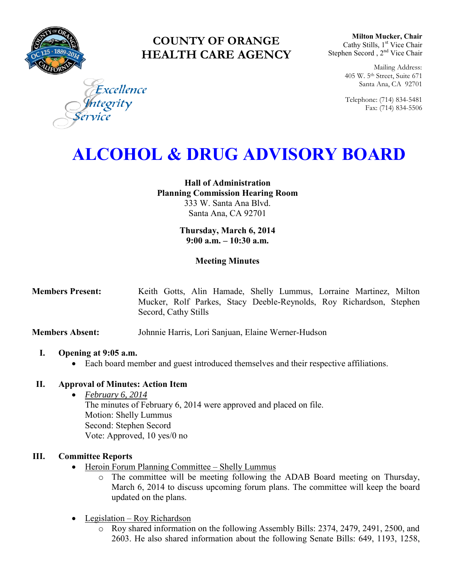

# **COUNTY OF ORANGE HEALTH CARE AGENCY**

**Milton Mucker, Chair** Cathy Stills, 1<sup>st</sup> Vice Chair Stephen Secord, 2<sup>nd</sup> Vice Chair

> Mailing Address: 405 W. 5th Street, Suite 671 Santa Ana, CA 92701

> Telephone: (714) 834-5481 Fax: (714) 834-5506

Excellence tegrity

# **ALCOHOL & DRUG ADVISORY BOARD**

**Hall of Administration Planning Commission Hearing Room**  333 W. Santa Ana Blvd. Santa Ana, CA 92701

> **Thursday, March 6, 2014 9:00 a.m. – 10:30 a.m.**

# **Meeting Minutes**

**Members Present:** Keith Gotts, Alin Hamade, Shelly Lummus, Lorraine Martinez, Milton Mucker, Rolf Parkes, Stacy Deeble-Reynolds, Roy Richardson, Stephen Secord, Cathy Stills

**Members Absent:** Johnnie Harris, Lori Sanjuan, Elaine Werner-Hudson

#### **I. Opening at 9:05 a.m.**

Each board member and guest introduced themselves and their respective affiliations.

# **II. Approval of Minutes: Action Item**

- *February 6, 2014* The minutes of February 6, 2014 were approved and placed on file.
	- Motion: Shelly Lummus
	- Second: Stephen Secord
	- Vote: Approved, 10 yes/0 no

# **III. Committee Reports**

- Heroin Forum Planning Committee Shelly Lummus
	- o The committee will be meeting following the ADAB Board meeting on Thursday, March 6, 2014 to discuss upcoming forum plans. The committee will keep the board updated on the plans.
- Legislation Roy Richardson
	- o Roy shared information on the following Assembly Bills: 2374, 2479, 2491, 2500, and 2603. He also shared information about the following Senate Bills: 649, 1193, 1258,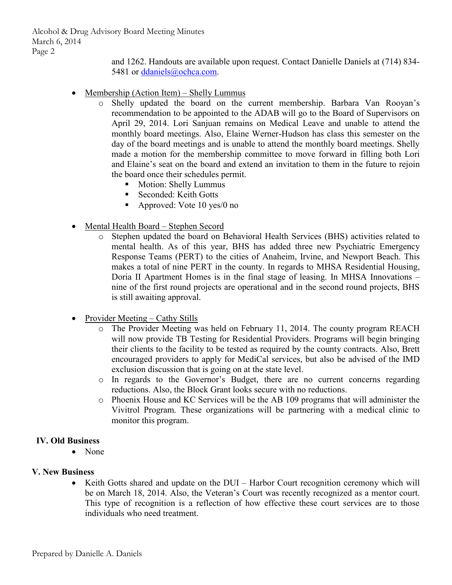Alcohol & Drug Advisory Board Meeting Minutes March 6, 2014 Page 2

> and 1262. Handouts are available upon request. Contact Danielle Daniels at (714) 834 5481 or [ddaniels@ochca.com.](mailto:ddaniels@ochca.com)

- Membership (Action Item) Shelly Lummus
	- o Shelly updated the board on the current membership. Barbara Van Rooyan's recommendation to be appointed to the ADAB will go to the Board of Supervisors on April 29, 2014. Lori Sanjuan remains on Medical Leave and unable to attend the monthly board meetings. Also, Elaine Werner-Hudson has class this semester on the day of the board meetings and is unable to attend the monthly board meetings. Shelly made a motion for the membership committee to move forward in filling both Lori and Elaine's seat on the board and extend an invitation to them in the future to rejoin the board once their schedules permit.
		- **Motion: Shelly Lummus**
		- Seconded: Keith Gotts
		- Approved: Vote 10 yes/0 no
- Mental Health Board Stephen Secord
	- o Stephen updated the board on Behavioral Health Services (BHS) activities related to mental health. As of this year, BHS has added three new Psychiatric Emergency Response Teams (PERT) to the cities of Anaheim, Irvine, and Newport Beach. This makes a total of nine PERT in the county. In regards to MHSA Residential Housing, Doria II Apartment Homes is in the final stage of leasing. In MHSA Innovations – nine of the first round projects are operational and in the second round projects, BHS is still awaiting approval.
- Provider Meeting Cathy Stills
	- o The Provider Meeting was held on February 11, 2014. The county program REACH will now provide TB Testing for Residential Providers. Programs will begin bringing their clients to the facility to be tested as required by the county contracts. Also, Brett encouraged providers to apply for MediCal services, but also be advised of the IMD exclusion discussion that is going on at the state level.
	- o In regards to the Governor's Budget, there are no current concerns regarding reductions. Also, the Block Grant looks secure with no reductions.
	- o Phoenix House and KC Services will be the AB 109 programs that will administer the Vivitrol Program. These organizations will be partnering with a medical clinic to monitor this program.

#### **IV. Old Business**

• None

#### **V. New Business**

• Keith Gotts shared and update on the DUI – Harbor Court recognition ceremony which will be on March 18, 2014. Also, the Veteran's Court was recently recognized as a mentor court. This type of recognition is a reflection of how effective these court services are to those individuals who need treatment.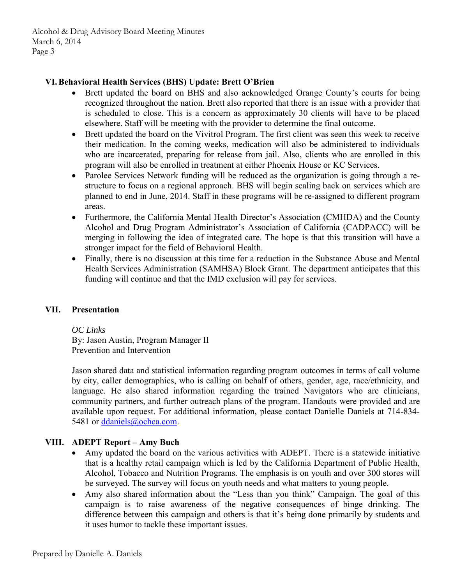Alcohol & Drug Advisory Board Meeting Minutes March 6, 2014 Page 3

# **VI.Behavioral Health Services (BHS) Update: Brett O'Brien**

- Brett updated the board on BHS and also acknowledged Orange County's courts for being recognized throughout the nation. Brett also reported that there is an issue with a provider that is scheduled to close. This is a concern as approximately 30 clients will have to be placed elsewhere. Staff will be meeting with the provider to determine the final outcome.
- Brett updated the board on the Vivitrol Program. The first client was seen this week to receive their medication. In the coming weeks, medication will also be administered to individuals who are incarcerated, preparing for release from jail. Also, clients who are enrolled in this program will also be enrolled in treatment at either Phoenix House or KC Services.
- Parolee Services Network funding will be reduced as the organization is going through a restructure to focus on a regional approach. BHS will begin scaling back on services which are planned to end in June, 2014. Staff in these programs will be re-assigned to different program areas.
- Furthermore, the California Mental Health Director's Association (CMHDA) and the County Alcohol and Drug Program Administrator's Association of California (CADPACC) will be merging in following the idea of integrated care. The hope is that this transition will have a stronger impact for the field of Behavioral Health.
- Finally, there is no discussion at this time for a reduction in the Substance Abuse and Mental Health Services Administration (SAMHSA) Block Grant. The department anticipates that this funding will continue and that the IMD exclusion will pay for services.

# **VII. Presentation**

*OC Links*  By: Jason Austin, Program Manager II Prevention and Intervention

Jason shared data and statistical information regarding program outcomes in terms of call volume by city, caller demographics, who is calling on behalf of others, gender, age, race/ethnicity, and language. He also shared information regarding the trained Navigators who are clinicians, community partners, and further outreach plans of the program. Handouts were provided and are available upon request. For additional information, please contact Danielle Daniels at 714-834 5481 or [ddaniels@ochca.com.](mailto:ddaniels@ochca.com)

# **VIII. ADEPT Report – Amy Buch**

- Amy updated the board on the various activities with ADEPT. There is a statewide initiative that is a healthy retail campaign which is led by the California Department of Public Health, Alcohol, Tobacco and Nutrition Programs. The emphasis is on youth and over 300 stores will be surveyed. The survey will focus on youth needs and what matters to young people.
- Amy also shared information about the "Less than you think" Campaign. The goal of this campaign is to raise awareness of the negative consequences of binge drinking. The difference between this campaign and others is that it's being done primarily by students and it uses humor to tackle these important issues.